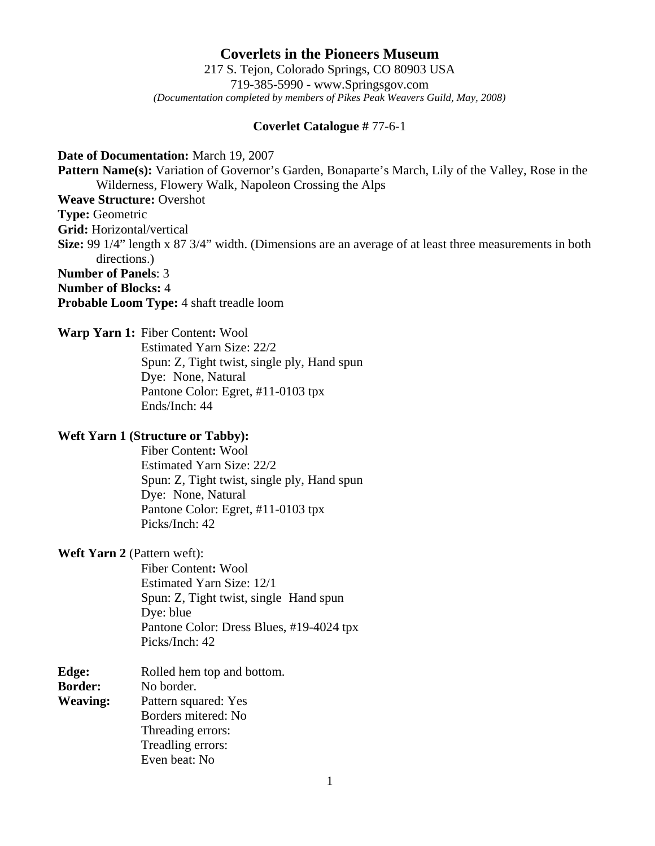# **Coverlets in the Pioneers Museum** 217 S. Tejon, Colorado Springs, CO 80903 USA 719-385-5990 - www.Springsgov.com *(Documentation completed by members of Pikes Peak Weavers Guild, May, 2008)*

### **Coverlet Catalogue #** 77-6-1

#### **Date of Documentation:** March 19, 2007

**Pattern Name(s):** Variation of Governor's Garden, Bonaparte's March, Lily of the Valley, Rose in the Wilderness, Flowery Walk, Napoleon Crossing the Alps

### **Weave Structure:** Overshot

**Type:** Geometric

**Grid:** Horizontal/vertical

**Size:** 99 1/4" length x 87 3/4" width. (Dimensions are an average of at least three measurements in both directions.)

### **Number of Panels**: 3

**Number of Blocks:** 4

**Probable Loom Type:** 4 shaft treadle loom

## **Warp Yarn 1:** Fiber Content**:** Wool

 Estimated Yarn Size: 22/2 Spun: Z, Tight twist, single ply, Hand spun Dye: None, Natural Pantone Color: Egret, #11-0103 tpx Ends/Inch: 44

### **Weft Yarn 1 (Structure or Tabby):**

 Fiber Content**:** Wool Estimated Yarn Size: 22/2 Spun: Z, Tight twist, single ply, Hand spun Dye: None, Natural Pantone Color: Egret, #11-0103 tpx Picks/Inch: 42

### **Weft Yarn 2** (Pattern weft):

 Fiber Content**:** Wool Estimated Yarn Size: 12/1 Spun: Z, Tight twist, single Hand spun Dye: blue Pantone Color: Dress Blues, #19-4024 tpx Picks/Inch: 42

| Edge:           | Rolled hem top and bottom. |
|-----------------|----------------------------|
| <b>Border:</b>  | No border.                 |
| <b>Weaving:</b> | Pattern squared: Yes       |
|                 | Borders mitered: No        |
|                 | Threading errors:          |
|                 | Treadling errors:          |
|                 | Even beat: No              |